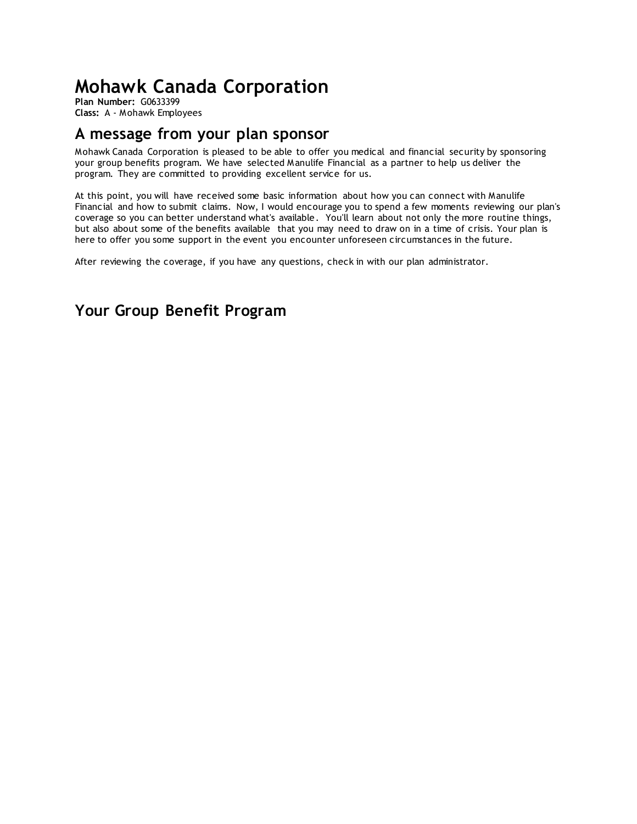# **Mohawk Canada Corporation**

**Plan Number:** G0633399 **Class:** A - Mohawk Employees

## <span id="page-0-0"></span>**A message from your plan sponsor**

Mohawk Canada Corporation is pleased to be able to offer you medical and financial security by sponsoring your group benefits program. We have selected Manulife Financial as a partner to help us deliver the program. They are committed to providing excellent service for us.

At this point, you will have received some basic information about how you can connect with Manulife Financial and how to submit claims. Now, I would encourage you to spend a few moments reviewing our plan's coverage so you can better understand what's available. You'll learn about not only the more routine things, but also about some of the benefits available that you may need to draw on in a time of crisis. Your plan is here to offer you some support in the event you encounter unforeseen circumstances in the future.

After reviewing the coverage, if you have any questions, check in with our plan administrator.

## <span id="page-0-1"></span>**Your Group Benefit Program**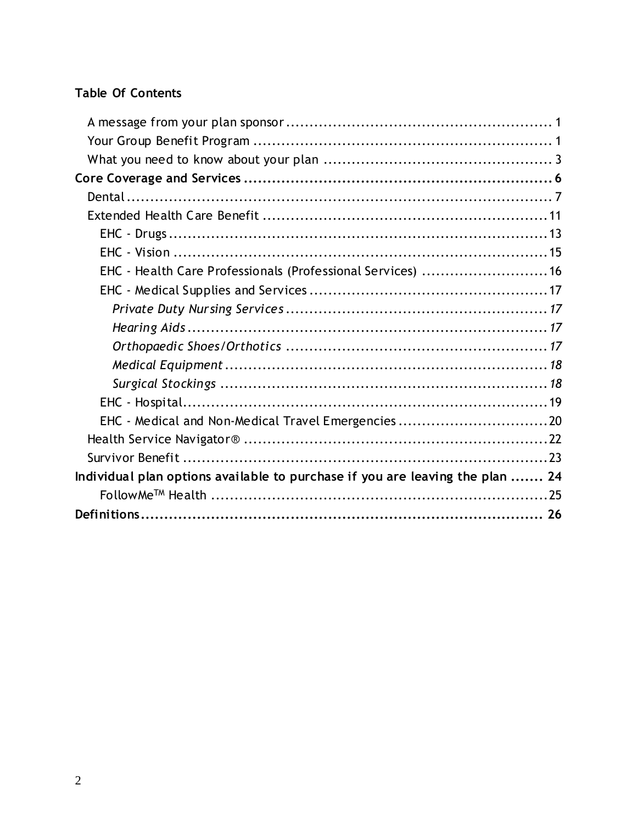### **Table Of Contents**

| EHC - Health Care Professionals (Professional Services)  16                   |  |
|-------------------------------------------------------------------------------|--|
|                                                                               |  |
|                                                                               |  |
|                                                                               |  |
|                                                                               |  |
|                                                                               |  |
|                                                                               |  |
|                                                                               |  |
| EHC - Medical and Non-Medical Travel Emergencies20                            |  |
|                                                                               |  |
|                                                                               |  |
| Individual plan options available to purchase if you are leaving the plan  24 |  |
|                                                                               |  |
|                                                                               |  |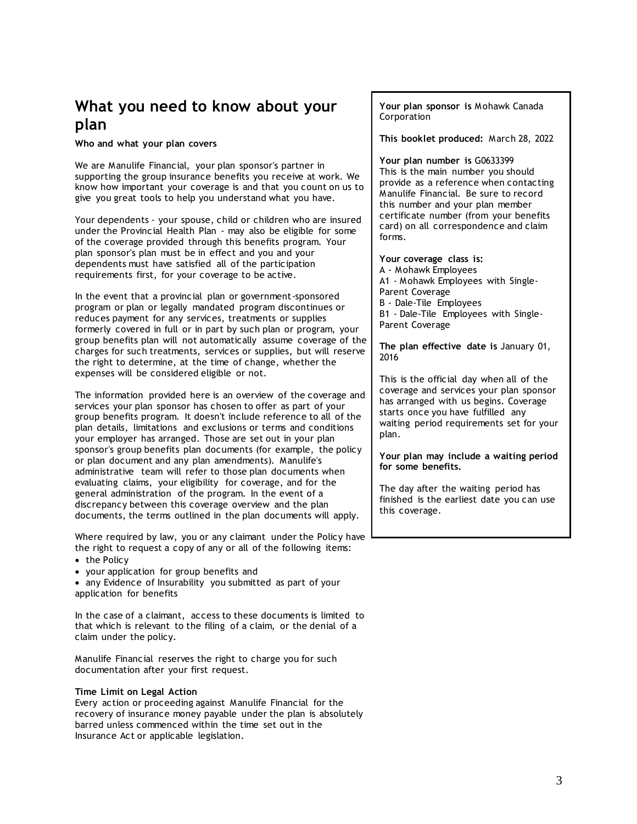## <span id="page-2-0"></span>**What you need to know about your plan**

**Who and what your plan covers**

We are Manulife Financial, your plan sponsor's partner in supporting the group insurance benefits you receive at work. We know how important your coverage is and that you count on us to give you great tools to help you understand what you have.

Your dependents - your spouse, child or children who are insured under the Provincial Health Plan - may also be eligible for some of the coverage provided through this benefits program. Your plan sponsor's plan must be in effect and you and your dependents must have satisfied all of the participation requirements first, for your coverage to be active.

In the event that a provincial plan or government-sponsored program or plan or legally mandated program discontinues or reduces payment for any services, treatments or supplies formerly covered in full or in part by such plan or program, your group benefits plan will not automatically assume coverage of the charges for such treatments, services or supplies, but will reserve the right to determine, at the time of change, whether the expenses will be considered eligible or not.

The information provided here is an overview of the coverage and services your plan sponsor has chosen to offer as part of your group benefits program. It doesn't include reference to all of the plan details, limitations and exclusions or terms and conditions your employer has arranged. Those are set out in your plan sponsor's group benefits plan documents (for example, the policy or plan document and any plan amendments). Manulife's administrative team will refer to those plan documents when evaluating claims, your eligibility for coverage, and for the general administration of the program. In the event of a discrepancy between this coverage overview and the plan documents, the terms outlined in the plan documents will apply.

Where required by law, you or any claimant under the Policy have the right to request a copy of any or all of the following items:

- the Policy
- your application for group benefits and

• any Evidence of Insurability you submitted as part of your application for benefits

In the case of a claimant, access to these documents is limited to that which is relevant to the filing of a claim, or the denial of a claim under the policy.

Manulife Financial reserves the right to charge you for such documentation after your first request.

#### **Time Limit on Legal Action**

Every action or proceeding against Manulife Financial for the recovery of insurance money payable under the plan is absolutely barred unless commenced within the time set out in the Insurance Act or applicable legislation.

**Your plan sponsor is** Mohawk Canada Corporation

**This booklet produced:** March 28, 2022

**Your plan number is** G0633399 This is the main number you should provide as a reference when contacting Manulife Financial. Be sure to record this number and your plan member certificate number (from your benefits card) on all correspondence and claim forms.

**Your coverage class is:** A - Mohawk Employees A1 - Mohawk Employees with Single-Parent Coverage B - Dale-Tile Employees B1 - Dale-Tile Employees with Single-Parent Coverage

**The plan effective date is** January 01, 2016

This is the official day when all of the coverage and services your plan sponsor has arranged with us begins. Coverage starts once you have fulfilled any waiting period requirements set for your plan.

**Your plan may include a waiting period for some benefits.**

The day after the waiting period has finished is the earliest date you can use this coverage.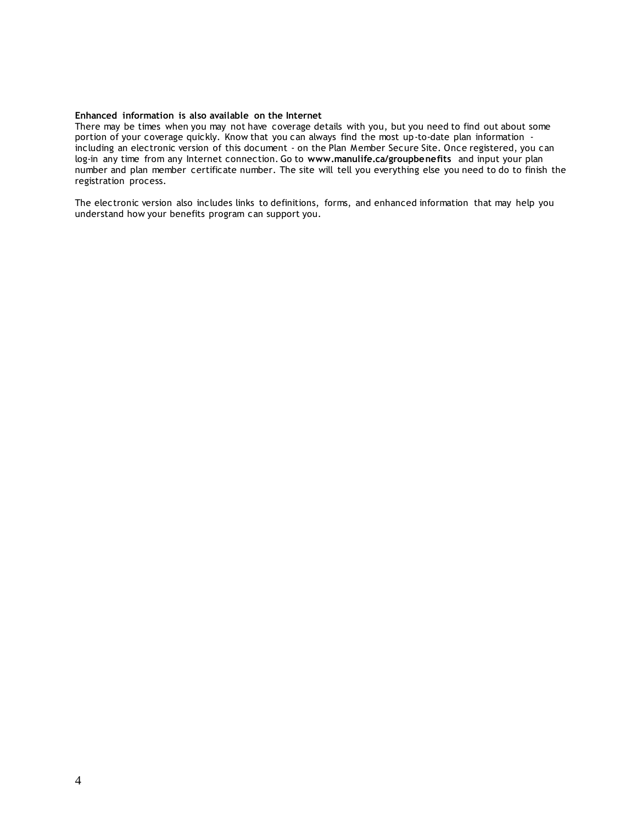#### **Enhanced information is also available on the Internet**

There may be times when you may not have coverage details with you, but you need to find out about some portion of your coverage quickly. Know that you can always find the most up-to-date plan information including an electronic version of this document - on the Plan Member Secure Site. Once registered, you can log-in any time from any Internet connection. Go to **[www.manulife.ca/groupbenefits](http://www.manulife.ca/groupbenefits)** and input your plan number and plan member certificate number. The site will tell you everything else you need to do to finish the registration process.

The electronic version also includes links to definitions, forms, and enhanced information that may help you understand how your benefits program can support you.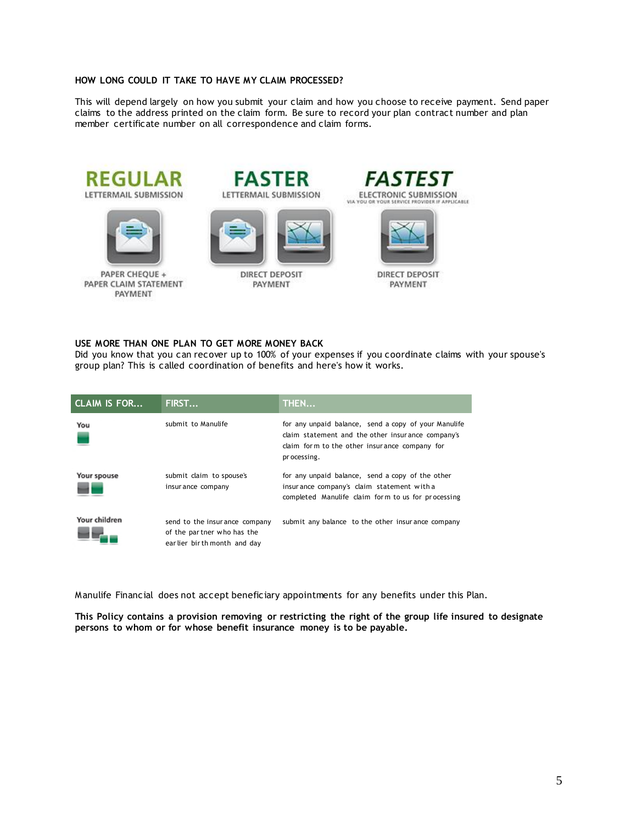#### **HOW LONG COULD IT TAKE TO HAVE MY CLAIM PROCESSED?**

This will depend largely on how you submit your claim and how you choose to receive payment. Send paper claims to the address printed on the claim form. Be sure to record your plan contract number and plan member certificate number on all correspondence and claim forms.





PAPER CHEQUE + PAPER CLAIM STATEMENT PAYMENT





**DIRECT DEPOSIT** PAYMENT



**DIRECT DEPOSIT** PAYMENT

#### **USE MORE THAN ONE PLAN TO GET MORE MONEY BACK**

Did you know that you can recover up to 100% of your expenses if you coordinate claims with your spouse's group plan? This is called coordination of benefits and here's how it works.

| <b>CLAIM IS FOR</b> | FIRST                                                                                       | THEN                                                                                                                                                                       |
|---------------------|---------------------------------------------------------------------------------------------|----------------------------------------------------------------------------------------------------------------------------------------------------------------------------|
| You                 | submit to Manulife                                                                          | for any unpaid balance, send a copy of your Manulife<br>claim statement and the other insurance company's<br>claim form to the other insurance company for<br>pr ocessing. |
| Your spouse         | submit claim to spouse's<br>insur ance company                                              | for any unpaid balance, send a copy of the other<br>insur ance company's claim statement with a<br>completed Manulife claim form to us for processing                      |
| Your children       | send to the insur ance company<br>of the partner who has the<br>earlier birth month and day | submit any balance to the other insurance company                                                                                                                          |

Manulife Financial does not accept beneficiary appointments for any benefits under this Plan.

**This Policy contains a provision removing or restricting the right of the group life insured to designate persons to whom or for whose benefit insurance money is to be payable.**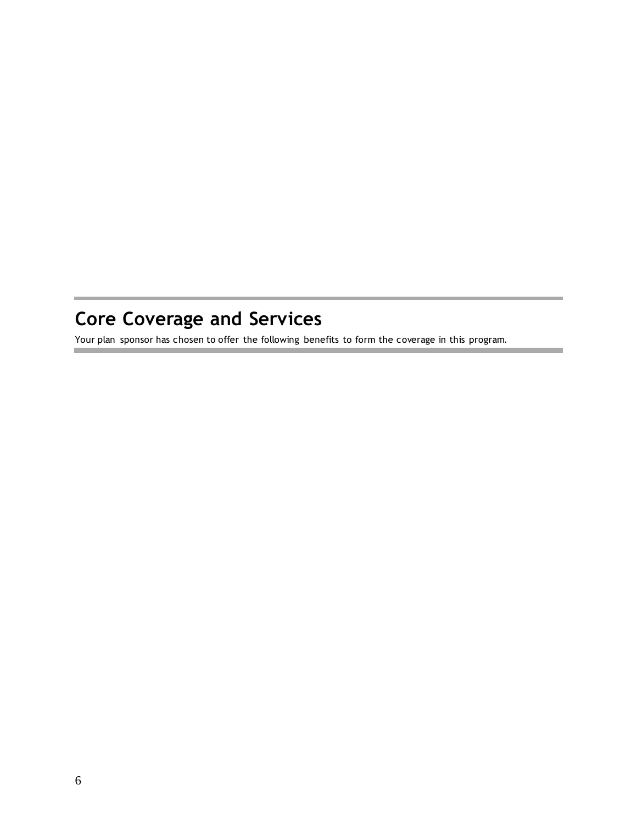# <span id="page-5-0"></span>**Core Coverage and Services**

Your plan sponsor has chosen to offer the following benefits to form the coverage in this program.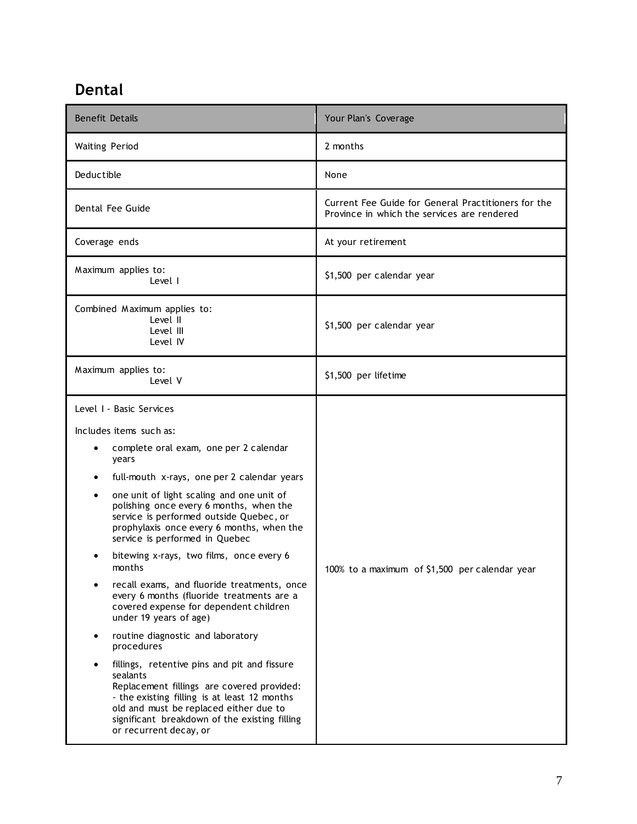# <span id="page-6-0"></span>**Dental**

| <b>Benefit Details</b>                                                                                                                                                                                                                                                                                                                                                                                                                                                                                                                                                                                                                                                                                                                                                                                                                                                                                                                    | Your Plan's Coverage                                                                               |
|-------------------------------------------------------------------------------------------------------------------------------------------------------------------------------------------------------------------------------------------------------------------------------------------------------------------------------------------------------------------------------------------------------------------------------------------------------------------------------------------------------------------------------------------------------------------------------------------------------------------------------------------------------------------------------------------------------------------------------------------------------------------------------------------------------------------------------------------------------------------------------------------------------------------------------------------|----------------------------------------------------------------------------------------------------|
| <b>Waiting Period</b>                                                                                                                                                                                                                                                                                                                                                                                                                                                                                                                                                                                                                                                                                                                                                                                                                                                                                                                     | 2 months                                                                                           |
| Deductible                                                                                                                                                                                                                                                                                                                                                                                                                                                                                                                                                                                                                                                                                                                                                                                                                                                                                                                                | None                                                                                               |
| Dental Fee Guide                                                                                                                                                                                                                                                                                                                                                                                                                                                                                                                                                                                                                                                                                                                                                                                                                                                                                                                          | Current Fee Guide for General Practitioners for the<br>Province in which the services are rendered |
| Coverage ends                                                                                                                                                                                                                                                                                                                                                                                                                                                                                                                                                                                                                                                                                                                                                                                                                                                                                                                             | At your retirement                                                                                 |
| Maximum applies to:<br>Level I                                                                                                                                                                                                                                                                                                                                                                                                                                                                                                                                                                                                                                                                                                                                                                                                                                                                                                            | \$1,500 per calendar year                                                                          |
| Combined Maximum applies to:<br>Level II<br>Level III<br>Level IV                                                                                                                                                                                                                                                                                                                                                                                                                                                                                                                                                                                                                                                                                                                                                                                                                                                                         | \$1,500 per calendar year                                                                          |
| Maximum applies to:<br>Level V                                                                                                                                                                                                                                                                                                                                                                                                                                                                                                                                                                                                                                                                                                                                                                                                                                                                                                            | \$1,500 per lifetime                                                                               |
| Level I - Basic Services<br>Includes items such as:<br>complete oral exam, one per 2 calendar<br>٠<br>years<br>full-mouth x-rays, one per 2 calendar years<br>one unit of light scaling and one unit of<br>٠<br>polishing once every 6 months, when the<br>service is performed outside Quebec, or<br>prophylaxis once every 6 months, when the<br>service is performed in Quebec<br>bitewing x-rays, two films, once every 6<br>months<br>recall exams, and fluoride treatments, once<br>every 6 months (fluoride treatments are a<br>covered expense for dependent children<br>under 19 years of age)<br>routine diagnostic and laboratory<br>procedures<br>fillings, retentive pins and pit and fissure<br>sealants<br>Replacement fillings are covered provided:<br>- the existing filling is at least 12 months<br>old and must be replaced either due to<br>significant breakdown of the existing filling<br>or recurrent decay, or | 100% to a maximum of \$1,500 per calendar year                                                     |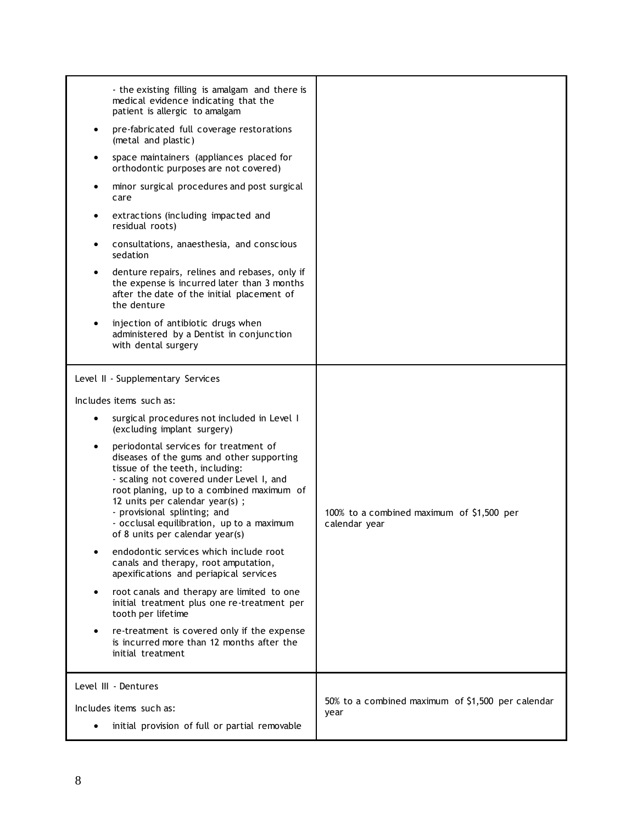| - the existing filling is amalgam and there is<br>medical evidence indicating that the<br>patient is allergic to amalgam<br>pre-fabricated full coverage restorations<br>$\bullet$<br>(metal and plastic)<br>space maintainers (appliances placed for<br>orthodontic purposes are not covered)<br>minor surgical procedures and post surgical<br>care<br>extractions (including impacted and<br>$\bullet$<br>residual roots)<br>consultations, anaesthesia, and conscious<br>sedation<br>denture repairs, relines and rebases, only if<br>the expense is incurred later than 3 months<br>after the date of the initial placement of<br>the denture<br>injection of antibiotic drugs when<br>$\bullet$<br>administered by a Dentist in conjunction<br>with dental surgery                                                                                                                    |                                                            |
|---------------------------------------------------------------------------------------------------------------------------------------------------------------------------------------------------------------------------------------------------------------------------------------------------------------------------------------------------------------------------------------------------------------------------------------------------------------------------------------------------------------------------------------------------------------------------------------------------------------------------------------------------------------------------------------------------------------------------------------------------------------------------------------------------------------------------------------------------------------------------------------------|------------------------------------------------------------|
| Level II - Supplementary Services<br>Includes items such as:<br>surgical procedures not included in Level I<br>(excluding implant surgery)<br>periodontal services for treatment of<br>diseases of the gums and other supporting<br>tissue of the teeth, including:<br>- scaling not covered under Level I, and<br>root planing, up to a combined maximum of<br>12 units per calendar year(s);<br>- provisional splinting; and<br>- occlusal equilibration, up to a maximum<br>of 8 units per calendar year(s)<br>endodontic services which include root<br>canals and therapy, root amputation,<br>apexifications and periapical services<br>root canals and therapy are limited to one<br>$\bullet$<br>initial treatment plus one re-treatment per<br>tooth per lifetime<br>re-treatment is covered only if the expense<br>is incurred more than 12 months after the<br>initial treatment | 100% to a combined maximum of \$1,500 per<br>calendar year |
| Level III - Dentures<br>Includes items such as:<br>initial provision of full or partial removable                                                                                                                                                                                                                                                                                                                                                                                                                                                                                                                                                                                                                                                                                                                                                                                           | 50% to a combined maximum of \$1,500 per calendar<br>year  |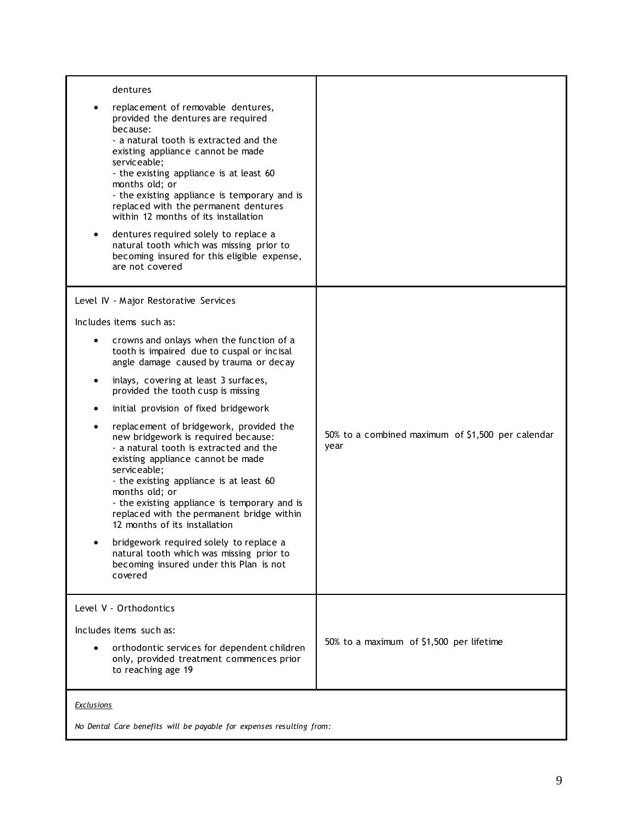| dentures<br>replacement of removable dentures,<br>provided the dentures are required<br>because:<br>- a natural tooth is extracted and the<br>existing appliance cannot be made<br>serviceable;<br>- the existing appliance is at least 60<br>months old; or<br>- the existing appliance is temporary and is<br>replaced with the permanent dentures<br>within 12 months of its installation<br>dentures required solely to replace a<br>$\bullet$<br>natural tooth which was missing prior to<br>becoming insured for this eligible expense,<br>are not covered                                                                                                                                                                                                                                                                                                                  |                                                           |
|-----------------------------------------------------------------------------------------------------------------------------------------------------------------------------------------------------------------------------------------------------------------------------------------------------------------------------------------------------------------------------------------------------------------------------------------------------------------------------------------------------------------------------------------------------------------------------------------------------------------------------------------------------------------------------------------------------------------------------------------------------------------------------------------------------------------------------------------------------------------------------------|-----------------------------------------------------------|
| Level IV - Major Restorative Services<br>Includes items such as:<br>crowns and onlays when the function of a<br>$\bullet$<br>tooth is impaired due to cuspal or incisal<br>angle damage caused by trauma or decay<br>inlays, covering at least 3 surfaces,<br>٠<br>provided the tooth cusp is missing<br>initial provision of fixed bridgework<br>٠<br>replacement of bridgework, provided the<br>٠<br>new bridgework is required because:<br>- a natural tooth is extracted and the<br>existing appliance cannot be made<br>serviceable;<br>- the existing appliance is at least 60<br>months old; or<br>- the existing appliance is temporary and is<br>replaced with the permanent bridge within<br>12 months of its installation<br>bridgework required solely to replace a<br>natural tooth which was missing prior to<br>becoming insured under this Plan is not<br>covered | 50% to a combined maximum of \$1,500 per calendar<br>year |
| Level V - Orthodontics<br>Includes items such as:<br>orthodontic services for dependent children<br>$\bullet$<br>only, provided treatment commences prior<br>to reaching age 19                                                                                                                                                                                                                                                                                                                                                                                                                                                                                                                                                                                                                                                                                                   | 50% to a maximum of \$1,500 per lifetime                  |
| <b>Exclusions</b>                                                                                                                                                                                                                                                                                                                                                                                                                                                                                                                                                                                                                                                                                                                                                                                                                                                                 |                                                           |

*No Dental Care benefits will be payable for expenses resulting from:*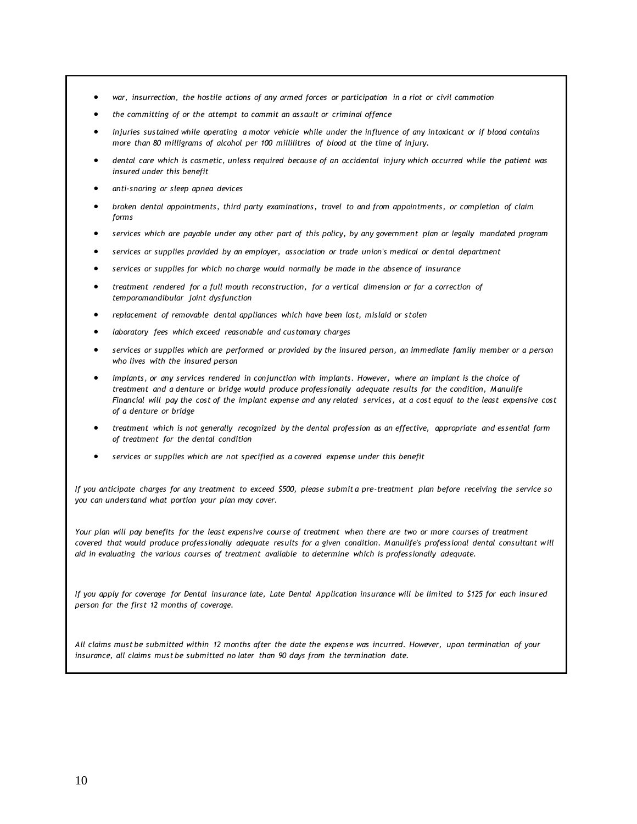- *war, insurrection, the hostile actions of any armed forces or participation in a riot or civil commotion*
- *the committing of or the attempt to commit an assault or criminal offence*
- *injuries sustained while operating a motor vehicle while under the influence of any intoxicant or if blood contains more than 80 milligrams of alcohol per 100 millilitres of blood at the time of injury.*
- *dental care which is cosmetic, unless required because of an accidental injury which occurred while the patient was insured under this benefit*
- *anti-snoring or sleep apnea devices*
- *broken dental appointments, third party examinations, travel to and from appointments, or completion of claim forms*
- *services which are payable under any other part of this policy, by any government plan or legally mandated program*
- *services or supplies provided by an employer, association or trade union's medical or dental department*
- *services or supplies for which no charge would normally be made in the absence of insurance*
- *treatment rendered for a full mouth reconstruction, for a vertical dimension or for a correction of temporomandibular joint dysfunction*
- *replacement of removable dental appliances which have been lost, mislaid or stolen*
- *laboratory fees which exceed reasonable and customary charges*
- *services or supplies which are performed or provided by the insured person, an immediate family member or a person who lives with the insured person*
- *implants, or any services rendered in conjunction with implants. However, where an implant is the choice of treatment and a denture or bridge would produce professionally adequate results for the condition, Manulife Financial will pay the cost of the implant expense and any related services, at a cost equal to the least expensive cost of a denture or bridge*
- *treatment which is not generally recognized by the dental profession as an effective, appropriate and essential form of treatment for the dental condition*
- *services or supplies which are not specified as a covered expense under this benefit*

*If you anticipate charges for any treatment to exceed \$500, please submit a pre-treatment plan before receiving the service so you can understand what portion your plan may cover.*

*Your plan will pay benefits for the least expensive course of treatment when there are two or more courses of treatment covered that would produce professionally adequate results for a given condition. Manulife's professional dental consultant will aid in evaluating the various courses of treatment available to determine which is professionally adequate.*

*If you apply for coverage for Dental insurance late, Late Dental Application insurance will be limited to \$125 for each insured person for the first 12 months of coverage.* 

*All claims must be submitted within 12 months after the date the expense was incurred. However, upon termination of your insurance, all claims must be submitted no later than 90 days from the termination date.*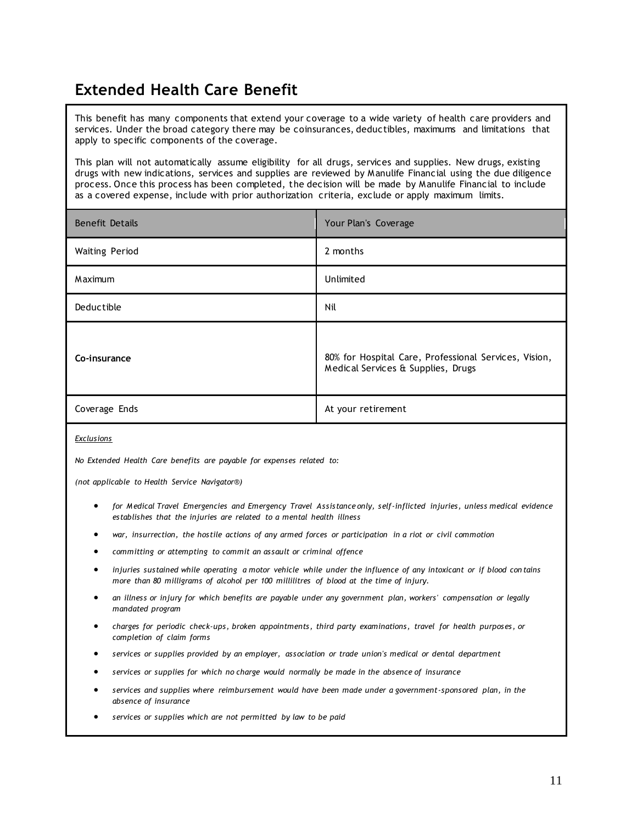## <span id="page-10-0"></span>**Extended Health Care Benefit**

This benefit has many components that extend your coverage to a wide variety of health care providers and services. Under the broad category there may be coinsurances, deductibles, maximums and limitations that apply to specific components of the coverage.

This plan will not automatically assume eligibility for all drugs, services and supplies. New drugs, existing drugs with new indications, services and supplies are reviewed by Manulife Financial using the due diligence process. Once this process has been completed, the decision will be made by Manulife Financial to include as a covered expense, include with prior authorization criteria, exclude or apply maximum limits.

| <b>Benefit Details</b> | Your Plan's Coverage                                                                        |
|------------------------|---------------------------------------------------------------------------------------------|
| <b>Waiting Period</b>  | 2 months                                                                                    |
| Maximum                | Unlimited                                                                                   |
| Deductible             | Nil                                                                                         |
| Co-insurance           | 80% for Hospital Care, Professional Services, Vision,<br>Medical Services & Supplies, Drugs |
| Coverage Ends          | At your retirement                                                                          |

*Exclusions*

*No Extended Health Care benefits are payable for expenses related to:* 

*(not applicable to Health Service Navigator®)*

- *for Medical Travel Emergencies and Emergency Travel Assistance only, self-inflicted injuries, unless medical evidence establishes that the injuries are related to a mental health illness*
- *war, insurrection, the hostile actions of any armed forces or participation in a riot or civil commotion*
- *committing or attempting to commit an assault or criminal offence*
- *injuries sustained while operating a motor vehicle while under the influence of any intoxicant or if blood con tains more than 80 milligrams of alcohol per 100 millilitres of blood at the time of injury.*
- *an illness or injury for which benefits are payable under any government plan, workers' compensation or legally mandated program*
- *charges for periodic check-ups, broken appointments, third party examinations, travel for health purposes, or completion of claim forms*
- *services or supplies provided by an employer, association or trade union's medical or dental department*
- *services or supplies for which no charge would normally be made in the absence of insurance*
- *services and supplies where reimbursement would have been made under a government-sponsored plan, in the absence of insurance*
- *services or supplies which are not permitted by law to be paid*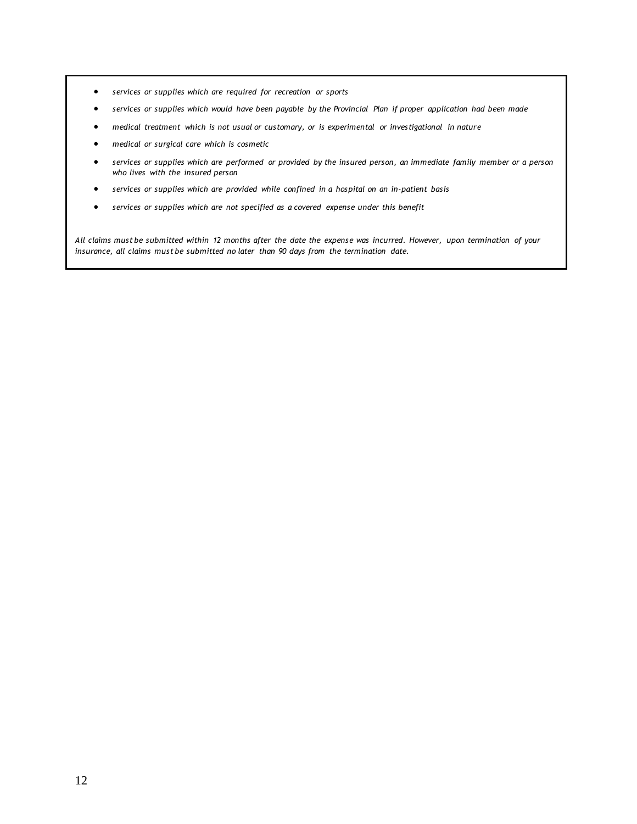- *services or supplies which are required for recreation or sports*
- *services or supplies which would have been payable by the Provincial Plan if proper application had been made*
- *medical treatment which is not usual or customary, or is experimental or investigational in nature*
- *medical or surgical care which is cosmetic*
- *services or supplies which are performed or provided by the insured person, an immediate family member or a person who lives with the insured person*
- *services or supplies which are provided while confined in a hospital on an in-patient basis*
- *services or supplies which are not specified as a covered expense under this benefit*

*All claims must be submitted within 12 months after the date the expense was incurred. However, upon termination of your insurance, all claims must be submitted no later than 90 days from the termination date.*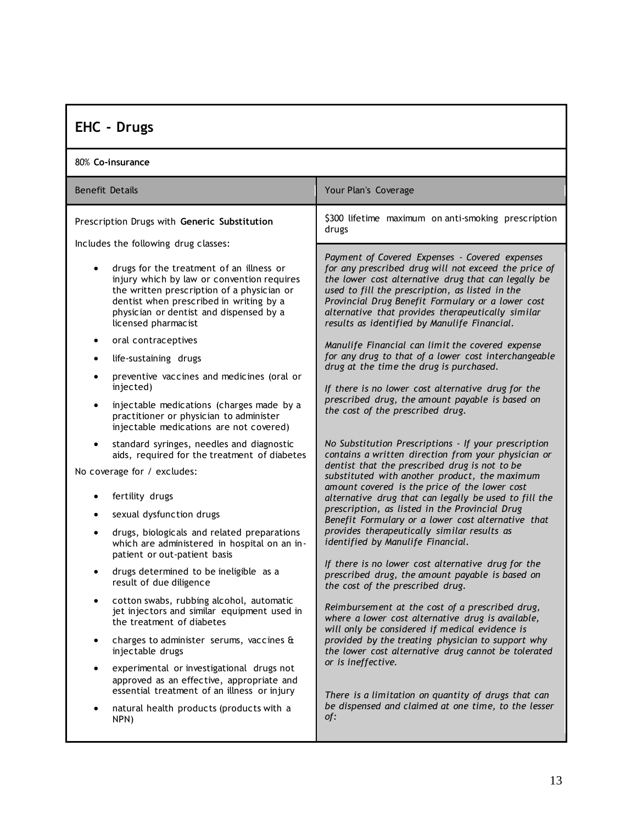# <span id="page-12-0"></span>**EHC - Drugs**

| 80% Co-insurance       |                                                                                                                                                                                                                                                   |                                                                                                                                                                                                                                                                                                                          |
|------------------------|---------------------------------------------------------------------------------------------------------------------------------------------------------------------------------------------------------------------------------------------------|--------------------------------------------------------------------------------------------------------------------------------------------------------------------------------------------------------------------------------------------------------------------------------------------------------------------------|
| <b>Benefit Details</b> |                                                                                                                                                                                                                                                   | Your Plan's Coverage                                                                                                                                                                                                                                                                                                     |
|                        | Prescription Drugs with Generic Substitution                                                                                                                                                                                                      | \$300 lifetime maximum on anti-smoking prescription<br>drugs                                                                                                                                                                                                                                                             |
|                        | Includes the following drug classes:                                                                                                                                                                                                              | Payment of Covered Expenses - Covered expenses                                                                                                                                                                                                                                                                           |
|                        | drugs for the treatment of an illness or<br>injury which by law or convention requires<br>the written prescription of a physician or<br>dentist when prescribed in writing by a<br>physician or dentist and dispensed by a<br>licensed pharmacist | for any prescribed drug will not exceed the price of<br>the lower cost alternative drug that can legally be<br>used to fill the prescription, as listed in the<br>Provincial Drug Benefit Formulary or a lower cost<br>alternative that provides therapeutically similar<br>results as identified by Manulife Financial. |
| $\bullet$              | oral contraceptives                                                                                                                                                                                                                               | Manulife Financial can limit the covered expense                                                                                                                                                                                                                                                                         |
| $\bullet$              | life-sustaining drugs                                                                                                                                                                                                                             | for any drug to that of a lower cost interchangeable<br>drug at the time the drug is purchased.                                                                                                                                                                                                                          |
|                        | preventive vaccines and medicines (oral or<br>injected)                                                                                                                                                                                           | If there is no lower cost alternative drug for the                                                                                                                                                                                                                                                                       |
| $\bullet$              | injectable medications (charges made by a<br>practitioner or physician to administer<br>injectable medications are not covered)                                                                                                                   | prescribed drug, the amount payable is based on<br>the cost of the prescribed drug.                                                                                                                                                                                                                                      |
| ٠                      | standard syringes, needles and diagnostic<br>aids, required for the treatment of diabetes                                                                                                                                                         | No Substitution Prescriptions - If your prescription<br>contains a written direction from your physician or                                                                                                                                                                                                              |
|                        | No coverage for / excludes:                                                                                                                                                                                                                       | dentist that the prescribed drug is not to be<br>substituted with another product, the maximum                                                                                                                                                                                                                           |
|                        | fertility drugs                                                                                                                                                                                                                                   | amount covered is the price of the lower cost<br>alternative drug that can legally be used to fill the<br>prescription, as listed in the Provincial Drug                                                                                                                                                                 |
| ٠                      | sexual dysfunction drugs                                                                                                                                                                                                                          | Benefit Formulary or a lower cost alternative that                                                                                                                                                                                                                                                                       |
| ٠                      | drugs, biologicals and related preparations<br>which are administered in hospital on an in-<br>patient or out-patient basis                                                                                                                       | provides therapeutically similar results as<br>identified by Manulife Financial.                                                                                                                                                                                                                                         |
| ٠                      | drugs determined to be ineligible as a<br>result of due diligence                                                                                                                                                                                 | If there is no lower cost alternative drug for the<br>prescribed drug, the amount payable is based on<br>the cost of the prescribed drug.                                                                                                                                                                                |
|                        | cotton swabs, rubbing alcohol, automatic<br>jet injectors and similar equipment used in<br>the treatment of diabetes                                                                                                                              | Reimbursement at the cost of a prescribed drug,<br>where a lower cost alternative drug is available,<br>will only be considered if medical evidence is                                                                                                                                                                   |
| ٠                      | charges to administer serums, vaccines &<br>injectable drugs                                                                                                                                                                                      | provided by the treating physician to support why<br>the lower cost alternative drug cannot be tolerated                                                                                                                                                                                                                 |
|                        | experimental or investigational drugs not<br>approved as an effective, appropriate and<br>essential treatment of an illness or injury                                                                                                             | or is ineffective.<br>There is a limitation on quantity of drugs that can                                                                                                                                                                                                                                                |
| $\bullet$              | natural health products (products with a<br>NPN)                                                                                                                                                                                                  | be dispensed and claimed at one time, to the lesser<br>of:                                                                                                                                                                                                                                                               |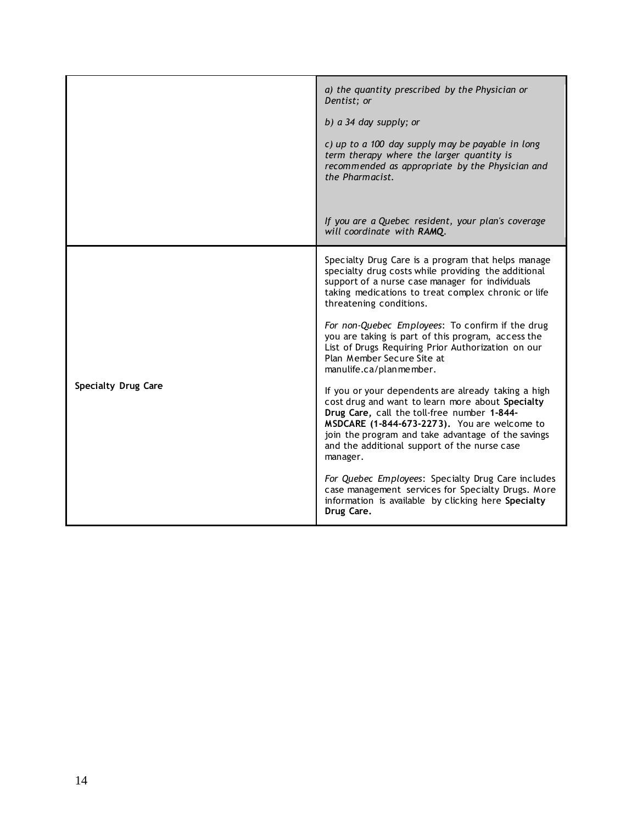|                            | a) the quantity prescribed by the Physician or<br>Dentist; or<br>b) a 34 day supply; or<br>c) up to a 100 day supply may be payable in long<br>term therapy where the larger quantity is<br>recommended as appropriate by the Physician and<br>the Pharmacist.                                                           |
|----------------------------|--------------------------------------------------------------------------------------------------------------------------------------------------------------------------------------------------------------------------------------------------------------------------------------------------------------------------|
|                            | If you are a Quebec resident, your plan's coverage<br>will coordinate with RAMQ.                                                                                                                                                                                                                                         |
| <b>Specialty Drug Care</b> | Specialty Drug Care is a program that helps manage<br>specialty drug costs while providing the additional<br>support of a nurse case manager for individuals<br>taking medications to treat complex chronic or life<br>threatening conditions.                                                                           |
|                            | For non-Quebec Employees: To confirm if the drug<br>you are taking is part of this program, access the<br>List of Drugs Requiring Prior Authorization on our<br>Plan Member Secure Site at<br>manulife.ca/planmember.                                                                                                    |
|                            | If you or your dependents are already taking a high<br>cost drug and want to learn more about Specialty<br>Drug Care, call the toll-free number 1-844-<br>MSDCARE (1-844-673-2273). You are welcome to<br>join the program and take advantage of the savings<br>and the additional support of the nurse case<br>manager. |
|                            | For Quebec Employees: Specialty Drug Care includes<br>case management services for Specialty Drugs. More<br>information is available by clicking here Specialty<br>Drug Care.                                                                                                                                            |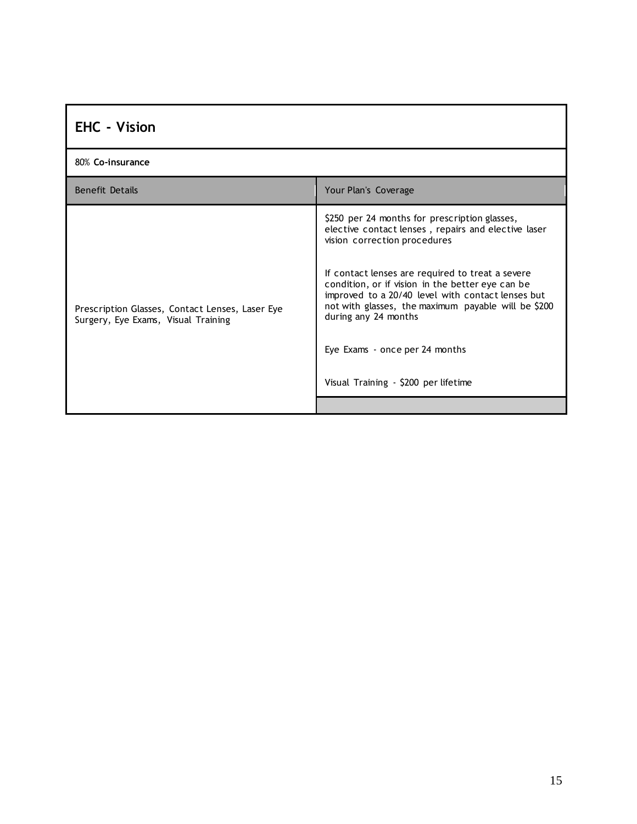<span id="page-14-0"></span>

| <b>EHC - Vision</b>                                                                    |                                                                                                                                                                                                                                                                                                                                                                                                                                                            |
|----------------------------------------------------------------------------------------|------------------------------------------------------------------------------------------------------------------------------------------------------------------------------------------------------------------------------------------------------------------------------------------------------------------------------------------------------------------------------------------------------------------------------------------------------------|
| 80% Co-insurance                                                                       |                                                                                                                                                                                                                                                                                                                                                                                                                                                            |
| <b>Benefit Details</b>                                                                 | Your Plan's Coverage                                                                                                                                                                                                                                                                                                                                                                                                                                       |
| Prescription Glasses, Contact Lenses, Laser Eye<br>Surgery, Eye Exams, Visual Training | \$250 per 24 months for prescription glasses,<br>elective contact lenses, repairs and elective laser<br>vision correction procedures<br>If contact lenses are required to treat a severe<br>condition, or if vision in the better eye can be<br>improved to a 20/40 level with contact lenses but<br>not with glasses, the maximum payable will be \$200<br>during any 24 months<br>Eye Exams - once per 24 months<br>Visual Training - \$200 per lifetime |
|                                                                                        |                                                                                                                                                                                                                                                                                                                                                                                                                                                            |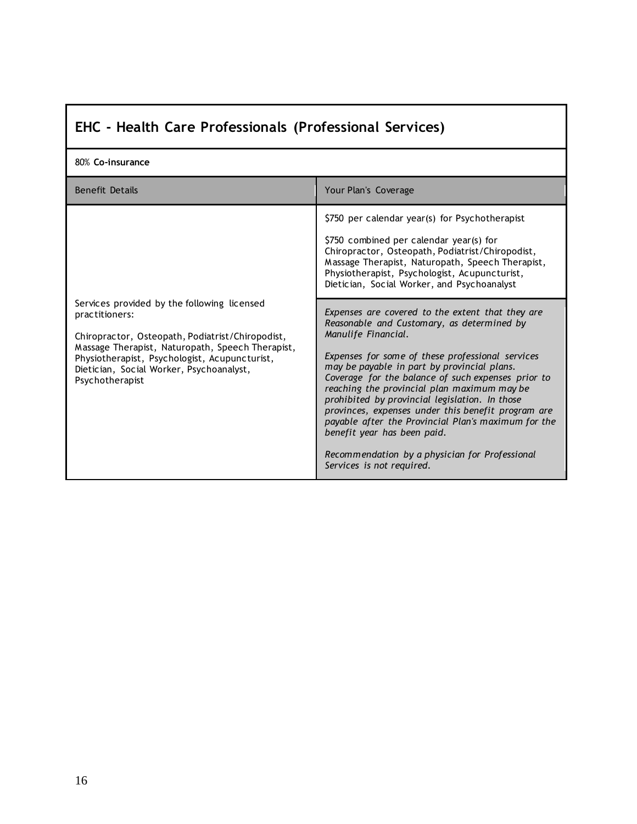<span id="page-15-0"></span>

| EHC - Health Care Professionals (Professional Services) |
|---------------------------------------------------------|
|---------------------------------------------------------|

| 80% Co-insurance                                                                                                                                                                                                                                                                      |                                                                                                                                                                                                                                                                                                                                                                                                                                                                                                                                                                                                                                                                                                                                                                                                                                                                                                                 |
|---------------------------------------------------------------------------------------------------------------------------------------------------------------------------------------------------------------------------------------------------------------------------------------|-----------------------------------------------------------------------------------------------------------------------------------------------------------------------------------------------------------------------------------------------------------------------------------------------------------------------------------------------------------------------------------------------------------------------------------------------------------------------------------------------------------------------------------------------------------------------------------------------------------------------------------------------------------------------------------------------------------------------------------------------------------------------------------------------------------------------------------------------------------------------------------------------------------------|
| <b>Benefit Details</b>                                                                                                                                                                                                                                                                | Your Plan's Coverage                                                                                                                                                                                                                                                                                                                                                                                                                                                                                                                                                                                                                                                                                                                                                                                                                                                                                            |
| Services provided by the following licensed<br>practitioners:<br>Chiropractor, Osteopath, Podiatrist/Chiropodist,<br>Massage Therapist, Naturopath, Speech Therapist,<br>Physiotherapist, Psychologist, Acupuncturist,<br>Dietician, Social Worker, Psychoanalyst,<br>Psychotherapist | \$750 per calendar year(s) for Psychotherapist<br>\$750 combined per calendar year(s) for<br>Chiropractor, Osteopath, Podiatrist/Chiropodist,<br>Massage Therapist, Naturopath, Speech Therapist,<br>Physiotherapist, Psychologist, Acupuncturist,<br>Dietician, Social Worker, and Psychoanalyst<br>Expenses are covered to the extent that they are<br>Reasonable and Customary, as determined by<br>Manulife Financial.<br>Expenses for some of these professional services<br>may be payable in part by provincial plans.<br>Coverage for the balance of such expenses prior to<br>reaching the provincial plan maximum may be<br>prohibited by provincial legislation. In those<br>provinces, expenses under this benefit program are<br>payable after the Provincial Plan's maximum for the<br>benefit year has been paid.<br>Recommendation by a physician for Professional<br>Services is not required. |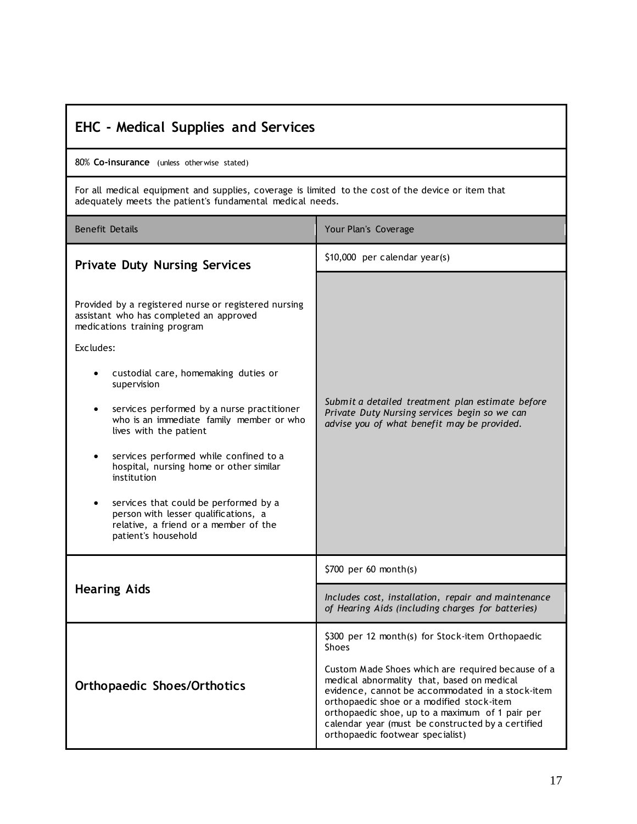<span id="page-16-3"></span><span id="page-16-2"></span><span id="page-16-1"></span><span id="page-16-0"></span>

| <b>EHC</b> - Medical Supplies and Services                                                                                                                      |                                                                                                                                                                                                                                                                                                                                              |  |
|-----------------------------------------------------------------------------------------------------------------------------------------------------------------|----------------------------------------------------------------------------------------------------------------------------------------------------------------------------------------------------------------------------------------------------------------------------------------------------------------------------------------------|--|
| 80% Co-insurance (unless otherwise stated)                                                                                                                      |                                                                                                                                                                                                                                                                                                                                              |  |
| For all medical equipment and supplies, coverage is limited to the cost of the device or item that<br>adequately meets the patient's fundamental medical needs. |                                                                                                                                                                                                                                                                                                                                              |  |
| <b>Benefit Details</b>                                                                                                                                          | Your Plan's Coverage                                                                                                                                                                                                                                                                                                                         |  |
| <b>Private Duty Nursing Services</b>                                                                                                                            | \$10,000 per calendar year(s)                                                                                                                                                                                                                                                                                                                |  |
| Provided by a registered nurse or registered nursing<br>assistant who has completed an approved<br>medications training program                                 |                                                                                                                                                                                                                                                                                                                                              |  |
| Excludes:                                                                                                                                                       |                                                                                                                                                                                                                                                                                                                                              |  |
| custodial care, homemaking duties or<br>supervision                                                                                                             |                                                                                                                                                                                                                                                                                                                                              |  |
| services performed by a nurse practitioner<br>$\bullet$<br>who is an immediate family member or who<br>lives with the patient                                   | Submit a detailed treatment plan estimate before<br>Private Duty Nursing services begin so we can<br>advise you of what benefit may be provided.                                                                                                                                                                                             |  |
| services performed while confined to a<br>hospital, nursing home or other similar<br>institution                                                                |                                                                                                                                                                                                                                                                                                                                              |  |
| services that could be performed by a<br>person with lesser qualifications, a<br>relative, a friend or a member of the<br>patient's household                   |                                                                                                                                                                                                                                                                                                                                              |  |
| <b>Hearing Aids</b>                                                                                                                                             | \$700 per 60 month(s)                                                                                                                                                                                                                                                                                                                        |  |
|                                                                                                                                                                 | Includes cost, installation, repair and maintenance<br>of Hearing Aids (including charges for batteries)                                                                                                                                                                                                                                     |  |
|                                                                                                                                                                 | \$300 per 12 month(s) for Stock-item Orthopaedic<br><b>Shoes</b>                                                                                                                                                                                                                                                                             |  |
| <b>Orthopaedic Shoes/Orthotics</b>                                                                                                                              | Custom Made Shoes which are required because of a<br>medical abnormality that, based on medical<br>evidence, cannot be accommodated in a stock-item<br>orthopaedic shoe or a modified stock-item<br>orthopaedic shoe, up to a maximum of 1 pair per<br>calendar year (must be constructed by a certified<br>orthopaedic footwear specialist) |  |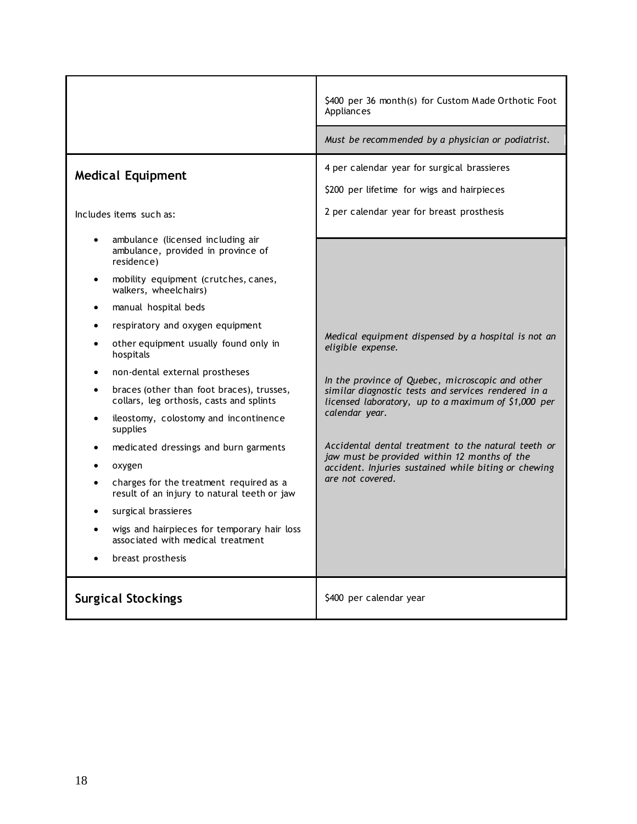<span id="page-17-1"></span><span id="page-17-0"></span>

|                                                                                                    | \$400 per 36 month(s) for Custom Made Orthotic Foot<br>Appliances                                                                      |
|----------------------------------------------------------------------------------------------------|----------------------------------------------------------------------------------------------------------------------------------------|
|                                                                                                    | Must be recommended by a physician or podiatrist.                                                                                      |
| <b>Medical Equipment</b><br>Includes items such as:                                                | 4 per calendar year for surgical brassieres<br>\$200 per lifetime for wigs and hairpieces<br>2 per calendar year for breast prosthesis |
| ambulance (licensed including air<br>$\bullet$<br>ambulance, provided in province of<br>residence) |                                                                                                                                        |
| mobility equipment (crutches, canes,<br>walkers, wheelchairs)                                      |                                                                                                                                        |
| manual hospital beds                                                                               |                                                                                                                                        |
| respiratory and oxygen equipment<br>$\bullet$                                                      |                                                                                                                                        |
| other equipment usually found only in<br>hospitals                                                 | Medical equipment dispensed by a hospital is not an<br>eligible expense.                                                               |
| non-dental external prostheses                                                                     | In the province of Quebec, microscopic and other                                                                                       |
| braces (other than foot braces), trusses,<br>collars, leg orthosis, casts and splints              | similar diagnostic tests and services rendered in a<br>licensed laboratory, up to a maximum of \$1,000 per                             |
| ileostomy, colostomy and incontinence<br>$\bullet$<br>supplies                                     | calendar year.                                                                                                                         |
| medicated dressings and burn garments                                                              | Accidental dental treatment to the natural teeth or<br>jaw must be provided within 12 months of the                                    |
| oxygen                                                                                             | accident. Injuries sustained while biting or chewing                                                                                   |
| charges for the treatment required as a<br>result of an injury to natural teeth or jaw             | are not covered.                                                                                                                       |
| surgical brassieres                                                                                |                                                                                                                                        |
| wigs and hairpieces for temporary hair loss<br>associated with medical treatment                   |                                                                                                                                        |
| breast prosthesis                                                                                  |                                                                                                                                        |
| <b>Surgical Stockings</b>                                                                          | \$400 per calendar year                                                                                                                |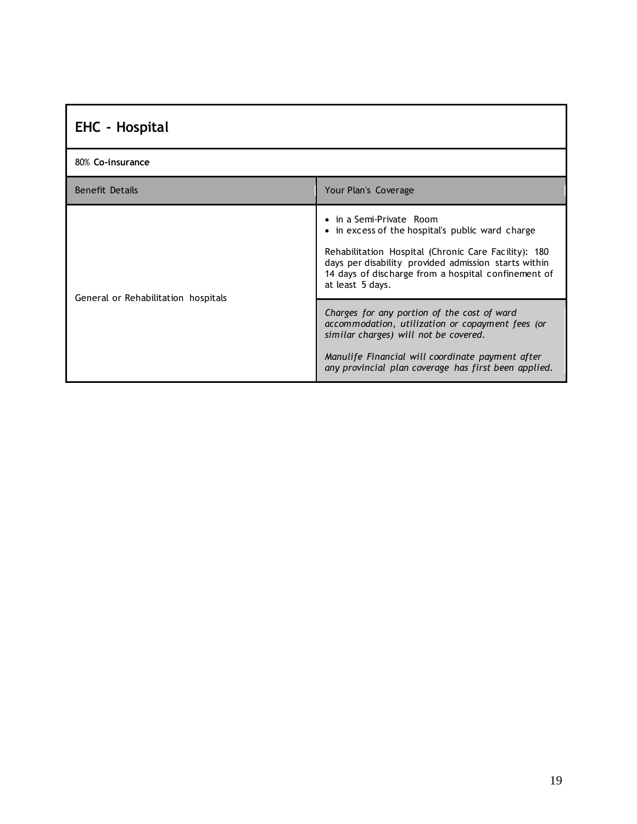<span id="page-18-0"></span>

| <b>EHC</b> - Hospital               |                                                                                                                                                                                                                                                                         |  |
|-------------------------------------|-------------------------------------------------------------------------------------------------------------------------------------------------------------------------------------------------------------------------------------------------------------------------|--|
| 80% Co-insurance                    |                                                                                                                                                                                                                                                                         |  |
| <b>Benefit Details</b>              | Your Plan's Coverage                                                                                                                                                                                                                                                    |  |
| General or Rehabilitation hospitals | • in a Semi-Private Room<br>• in excess of the hospital's public ward charge<br>Rehabilitation Hospital (Chronic Care Facility): 180<br>days per disability provided admission starts within<br>14 days of discharge from a hospital confinement of<br>at least 5 days. |  |
|                                     | Charges for any portion of the cost of ward<br>accommodation, utilization or copayment fees (or<br>similar charges) will not be covered.<br>Manulife Financial will coordinate payment after<br>any provincial plan coverage has first been applied.                    |  |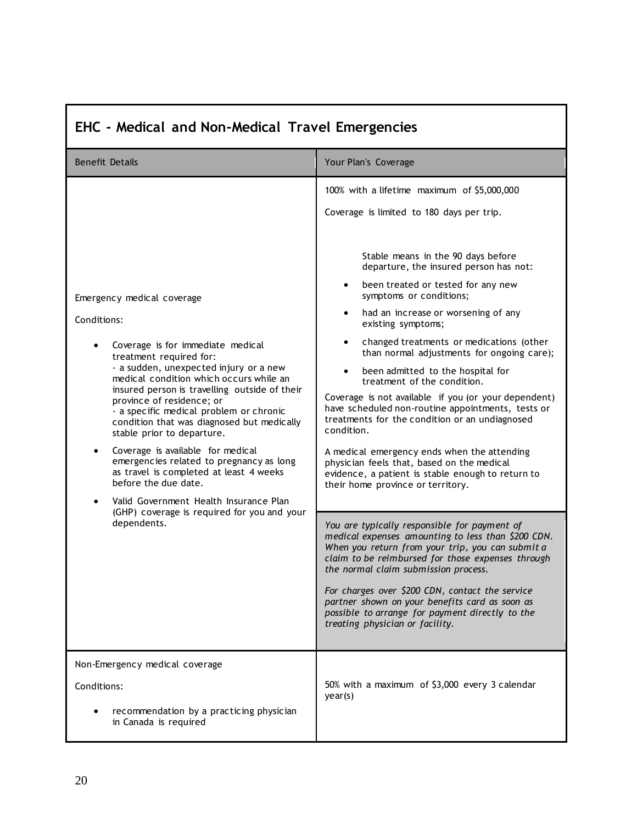| EHC - Medical and Non-Medical Travel Emergencies                                                                                                                                                                                                                                                                                                                                                                                                                                                                                                                                                                                                                             |                                                                                                                                                                                                                                                                                                                                                                                                                                                                                                                                                                                                                                                                                                                                                                                                                                                                                                                                                                                                                                                                                                                                                                                                                                                                                                         |  |
|------------------------------------------------------------------------------------------------------------------------------------------------------------------------------------------------------------------------------------------------------------------------------------------------------------------------------------------------------------------------------------------------------------------------------------------------------------------------------------------------------------------------------------------------------------------------------------------------------------------------------------------------------------------------------|---------------------------------------------------------------------------------------------------------------------------------------------------------------------------------------------------------------------------------------------------------------------------------------------------------------------------------------------------------------------------------------------------------------------------------------------------------------------------------------------------------------------------------------------------------------------------------------------------------------------------------------------------------------------------------------------------------------------------------------------------------------------------------------------------------------------------------------------------------------------------------------------------------------------------------------------------------------------------------------------------------------------------------------------------------------------------------------------------------------------------------------------------------------------------------------------------------------------------------------------------------------------------------------------------------|--|
| <b>Benefit Details</b>                                                                                                                                                                                                                                                                                                                                                                                                                                                                                                                                                                                                                                                       | Your Plan's Coverage                                                                                                                                                                                                                                                                                                                                                                                                                                                                                                                                                                                                                                                                                                                                                                                                                                                                                                                                                                                                                                                                                                                                                                                                                                                                                    |  |
| Emergency medical coverage<br>Conditions:<br>Coverage is for immediate medical<br>treatment required for:<br>- a sudden, unexpected injury or a new<br>medical condition which occurs while an<br>insured person is travelling outside of their<br>province of residence; or<br>- a specific medical problem or chronic<br>condition that was diagnosed but medically<br>stable prior to departure.<br>Coverage is available for medical<br>emergencies related to pregnancy as long<br>as travel is completed at least 4 weeks<br>before the due date.<br>Valid Government Health Insurance Plan<br>$\bullet$<br>(GHP) coverage is required for you and your<br>dependents. | 100% with a lifetime maximum of \$5,000,000<br>Coverage is limited to 180 days per trip.<br>Stable means in the 90 days before<br>departure, the insured person has not:<br>been treated or tested for any new<br>$\bullet$<br>symptoms or conditions;<br>had an increase or worsening of any<br>existing symptoms;<br>changed treatments or medications (other<br>than normal adjustments for ongoing care);<br>been admitted to the hospital for<br>treatment of the condition.<br>Coverage is not available if you (or your dependent)<br>have scheduled non-routine appointments, tests or<br>treatments for the condition or an undiagnosed<br>condition.<br>A medical emergency ends when the attending<br>physician feels that, based on the medical<br>evidence, a patient is stable enough to return to<br>their home province or territory.<br>You are typically responsible for payment of<br>medical expenses amounting to less than \$200 CDN.<br>When you return from your trip, you can submit a<br>claim to be reimbursed for those expenses through<br>the normal claim submission process.<br>For charges over \$200 CDN, contact the service<br>partner shown on your benefits card as soon as<br>possible to arrange for payment directly to the<br>treating physician or facility. |  |
| Non-Emergency medical coverage<br>Conditions:<br>recommendation by a practicing physician<br>in Canada is required                                                                                                                                                                                                                                                                                                                                                                                                                                                                                                                                                           | 50% with a maximum of \$3,000 every 3 calendar<br>year(s)                                                                                                                                                                                                                                                                                                                                                                                                                                                                                                                                                                                                                                                                                                                                                                                                                                                                                                                                                                                                                                                                                                                                                                                                                                               |  |

# <span id="page-19-0"></span>**EHC - Medical and Non-Medical Travel Emergencies**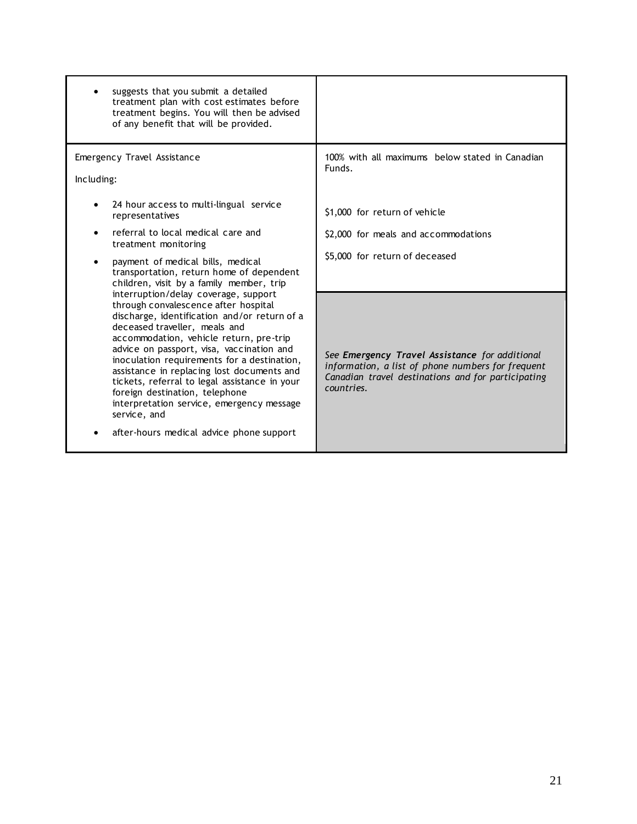| suggests that you submit a detailed<br>treatment plan with cost estimates before<br>treatment begins. You will then be advised<br>of any benefit that will be provided.                                                                                                                                                                                                                                                                                                                                                                        |                                                                                                                                                                         |
|------------------------------------------------------------------------------------------------------------------------------------------------------------------------------------------------------------------------------------------------------------------------------------------------------------------------------------------------------------------------------------------------------------------------------------------------------------------------------------------------------------------------------------------------|-------------------------------------------------------------------------------------------------------------------------------------------------------------------------|
| Emergency Travel Assistance<br>Including:                                                                                                                                                                                                                                                                                                                                                                                                                                                                                                      | 100% with all maximums below stated in Canadian<br>Funds.                                                                                                               |
| 24 hour access to multi-lingual service<br>representatives                                                                                                                                                                                                                                                                                                                                                                                                                                                                                     | \$1,000 for return of vehicle                                                                                                                                           |
| referral to local medical care and<br>treatment monitoring                                                                                                                                                                                                                                                                                                                                                                                                                                                                                     | \$2,000 for meals and accommodations                                                                                                                                    |
| payment of medical bills, medical<br>$\bullet$<br>transportation, return home of dependent<br>children, visit by a family member, trip                                                                                                                                                                                                                                                                                                                                                                                                         | \$5,000 for return of deceased                                                                                                                                          |
| interruption/delay coverage, support<br>through convalescence after hospital<br>discharge, identification and/or return of a<br>deceased traveller, meals and<br>accommodation, vehicle return, pre-trip<br>advice on passport, visa, vaccination and<br>inoculation requirements for a destination,<br>assistance in replacing lost documents and<br>tickets, referral to legal assistance in your<br>foreign destination, telephone<br>interpretation service, emergency message<br>service, and<br>after-hours medical advice phone support | See Emergency Travel Assistance for additional<br>information, a list of phone numbers for frequent<br>Canadian travel destinations and for participating<br>countries. |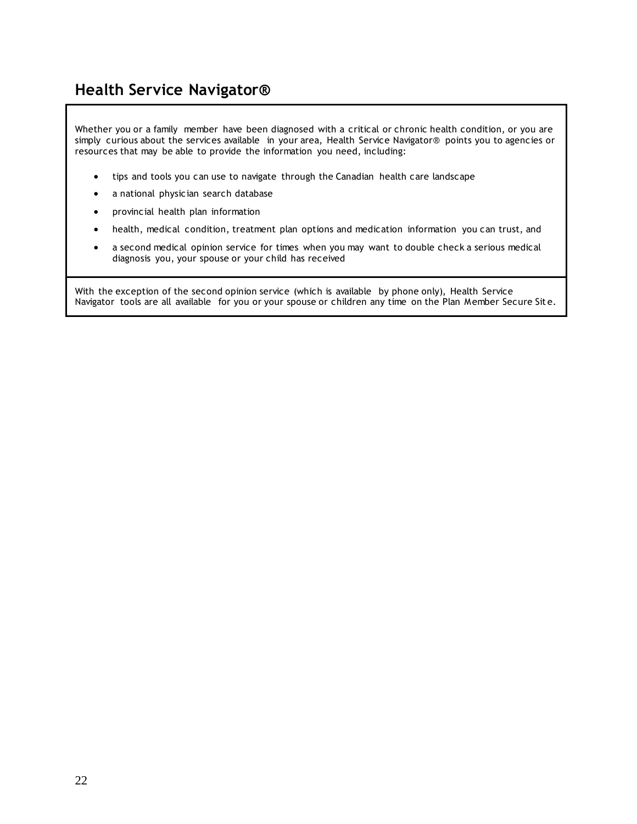## <span id="page-21-0"></span>**Health Service Navigator®**

Whether you or a family member have been diagnosed with a critical or chronic health condition, or you are simply curious about the services available in your area, Health Service Navigator® points you to agencies or resources that may be able to provide the information you need, including:

- tips and tools you can use to navigate through the Canadian health care landscape
- a national physician search database
- provincial health plan information
- health, medical condition, treatment plan options and medication information you can trust, and
- a second medical opinion service for times when you may want to double check a serious medical diagnosis you, your spouse or your child has received

With the exception of the second opinion service (which is available by phone only), Health Service Navigator tools are all available for you or your spouse or children any time on the Plan Member Secure Sit e.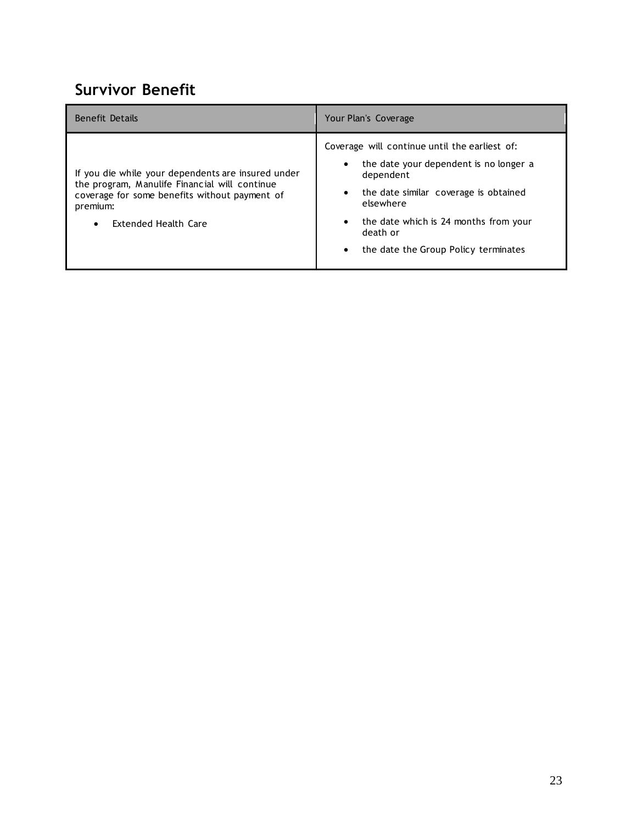## <span id="page-22-0"></span>**Survivor Benefit**

| <b>Benefit Details</b>                                                                                                                                                                                | Your Plan's Coverage                                                                                                                                                                                                                                                                                        |
|-------------------------------------------------------------------------------------------------------------------------------------------------------------------------------------------------------|-------------------------------------------------------------------------------------------------------------------------------------------------------------------------------------------------------------------------------------------------------------------------------------------------------------|
| If you die while your dependents are insured under<br>the program, Manulife Financial will continue<br>coverage for some benefits without payment of<br>premium:<br>Extended Health Care<br>$\bullet$ | Coverage will continue until the earliest of:<br>the date your dependent is no longer a<br>$\bullet$<br>dependent<br>the date similar coverage is obtained<br>$\bullet$<br>elsewhere<br>the date which is 24 months from your<br>$\bullet$<br>death or<br>the date the Group Policy terminates<br>$\bullet$ |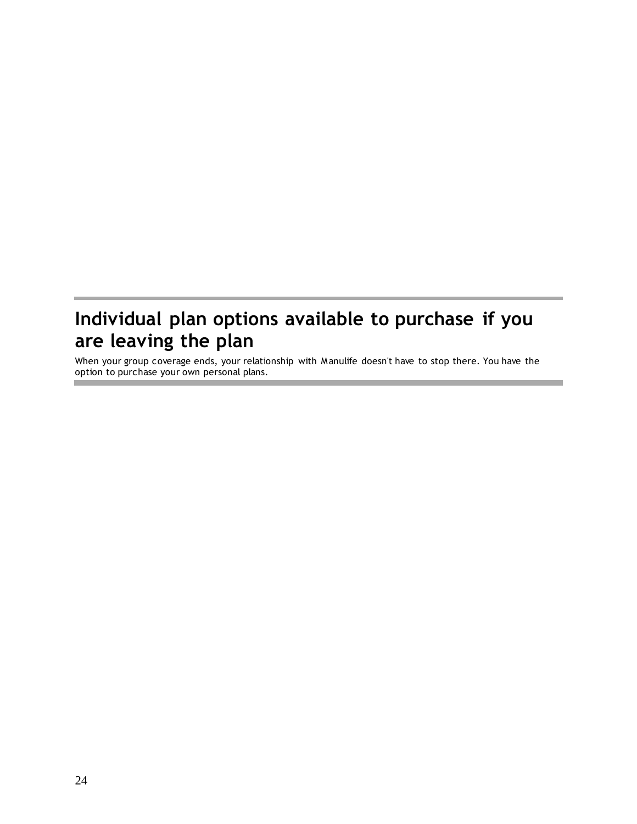# <span id="page-23-0"></span>**Individual plan options available to purchase if you are leaving the plan**

When your group coverage ends, your relationship with Manulife doesn't have to stop there. You have the option to purchase your own personal plans.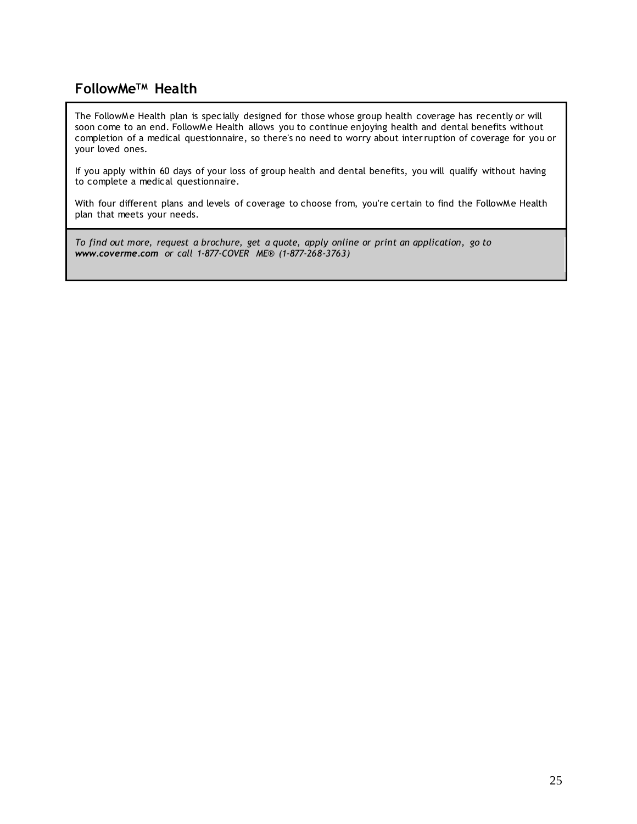### <span id="page-24-0"></span>**FollowMeTM Health**

The FollowMe Health plan is spec ially designed for those whose group health coverage has recently or will soon come to an end. FollowMe Health allows you to continue enjoying health and dental benefits without completion of a medical questionnaire, so there's no need to worry about interruption of coverage for you or your loved ones.

If you apply within 60 days of your loss of group health and dental benefits, you will qualify without having to complete a medical questionnaire.

With four different plans and levels of coverage to choose from, you're certain to find the FollowMe Health plan that meets your needs.

*To find out more, request a brochure, get a quote, apply online or print an application, go to [www.coverme.com](http://coverme.com/) or call 1-877-COVER ME® (1-877-268-3763)*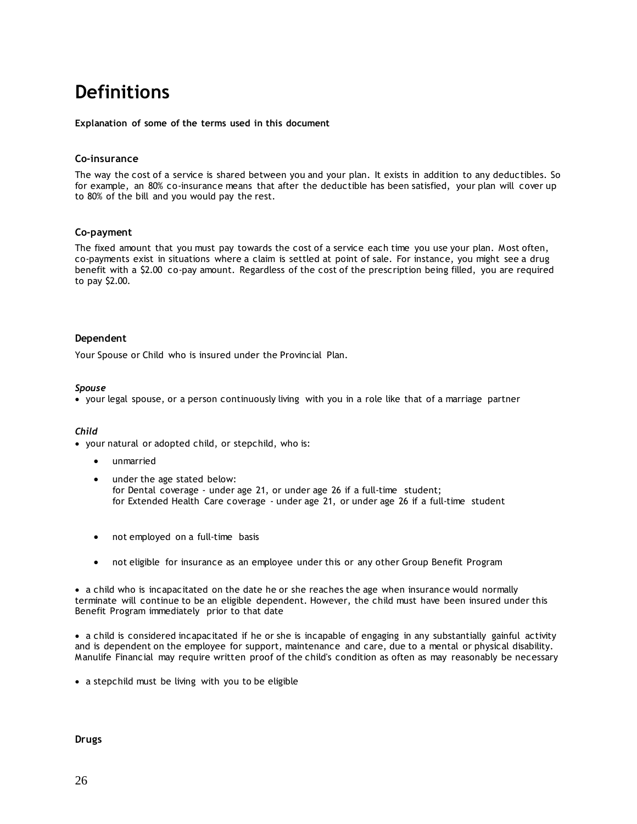# <span id="page-25-0"></span>**Definitions**

**Explanation of some of the terms used in this document** 

#### **Co-insurance**

The way the cost of a service is shared between you and your plan. It exists in addition to any deductibles. So for example, an 80% co-insurance means that after the deductible has been satisfied, your plan will cover up to 80% of the bill and you would pay the rest.

#### **Co-payment**

The fixed amount that you must pay towards the cost of a service each time you use your plan. Most often, co-payments exist in situations where a claim is settled at point of sale. For instance, you might see a drug benefit with a \$2.00 co-pay amount. Regardless of the cost of the prescription being filled, you are required to pay \$2.00.

#### **Dependent**

Your Spouse or Child who is insured under the Provincial Plan.

#### *Spouse*

• your legal spouse, or a person continuously living with you in a role like that of a marriage partner

#### *Child*

• your natural or adopted child, or stepchild, who is:

- unmarried
- under the age stated below: for Dental coverage - under age 21, or under age 26 if a full-time student; for Extended Health Care coverage - under age 21, or under age 26 if a full-time student
- not employed on a full-time basis
- not eligible for insurance as an employee under this or any other Group Benefit Program

• a child who is incapacitated on the date he or she reaches the age when insurance would normally terminate will continue to be an eligible dependent. However, the child must have been insured under this Benefit Program immediately prior to that date

• a child is considered incapacitated if he or she is incapable of engaging in any substantially gainful activity and is dependent on the employee for support, maintenance and care, due to a mental or physical disability. Manulife Financial may require written proof of the child's condition as often as may reasonably be necessary

• a stepchild must be living with you to be eligible

**Drugs**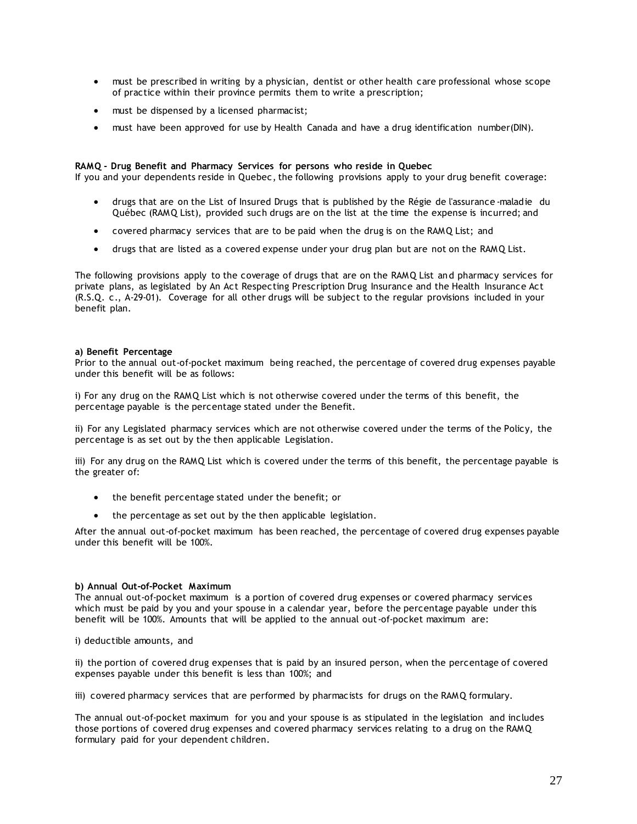- must be prescribed in writing by a physician, dentist or other health care professional whose scope of practice within their province permits them to write a prescription;
- must be dispensed by a licensed pharmacist:
- must have been approved for use by Health Canada and have a drug identification number(DIN).

#### **RAMQ - Drug Benefit and Pharmacy Services for persons who reside in Quebec**

If you and your dependents reside in Quebec, the following provisions apply to your drug benefit coverage:

- drugs that are on the List of Insured Drugs that is published by the Régie de l'assurance -maladie du Québec (RAMQ List), provided such drugs are on the list at the time the expense is incurred; and
- covered pharmacy services that are to be paid when the drug is on the RAMQ List; and
- drugs that are listed as a covered expense under your drug plan but are not on the RAMQ List.

The following provisions apply to the coverage of drugs that are on the RAMQ List an d pharmacy services for private plans, as legislated by An Act Respecting Prescription Drug Insurance and the Health Insurance Act (R.S.Q. c., A-29-01). Coverage for all other drugs will be subject to the regular provisions included in your benefit plan.

#### **a) Benefit Percentage**

Prior to the annual out-of-pocket maximum being reached, the percentage of covered drug expenses payable under this benefit will be as follows:

i) For any drug on the RAMQ List which is not otherwise covered under the terms of this benefit, the percentage payable is the percentage stated under the Benefit.

ii) For any Legislated pharmacy services which are not otherwise covered under the terms of the Policy, the percentage is as set out by the then applicable Legislation.

iii) For any drug on the RAMQ List which is covered under the terms of this benefit, the percentage payable is the greater of:

- the benefit percentage stated under the benefit; or
- the percentage as set out by the then applicable legislation.

After the annual out-of-pocket maximum has been reached, the percentage of covered drug expenses payable under this benefit will be 100%.

#### **b) Annual Out-of-Pocket Maximum**

The annual out-of-pocket maximum is a portion of covered drug expenses or covered pharmacy services which must be paid by you and your spouse in a calendar year, before the percentage payable under this benefit will be 100%. Amounts that will be applied to the annual out-of-pocket maximum are:

i) deductible amounts, and

ii) the portion of covered drug expenses that is paid by an insured person, when the percentage of covered expenses payable under this benefit is less than 100%; and

iii) covered pharmacy services that are performed by pharmacists for drugs on the RAMQ formulary.

The annual out-of-pocket maximum for you and your spouse is as stipulated in the legislation and includes those portions of covered drug expenses and covered pharmacy services relating to a drug on the RAMQ formulary paid for your dependent children.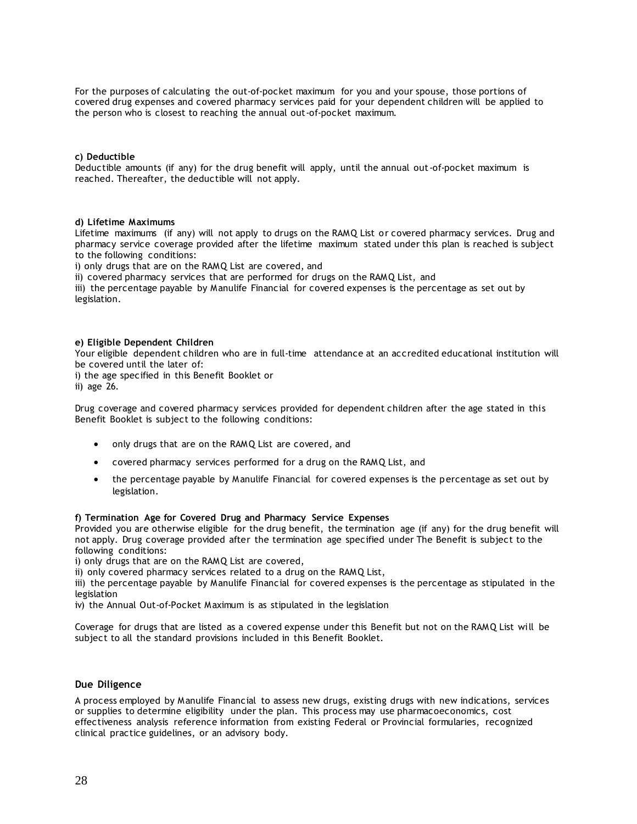For the purposes of calculating the out-of-pocket maximum for you and your spouse, those portions of covered drug expenses and covered pharmacy services paid for your dependent children will be applied to the person who is closest to reaching the annual out-of-pocket maximum.

#### **c) Deductible**

Deductible amounts (if any) for the drug benefit will apply, until the annual out-of-pocket maximum is reached. Thereafter, the deductible will not apply.

#### **d) Lifetime Maximums**

Lifetime maximums (if any) will not apply to drugs on the RAMQ List or covered pharmacy services. Drug and pharmacy service coverage provided after the lifetime maximum stated under this plan is reached is subject to the following conditions:

i) only drugs that are on the RAMQ List are covered, and

ii) covered pharmacy services that are performed for drugs on the RAMQ List, and

iii) the percentage payable by Manulife Financial for covered expenses is the percentage as set out by legislation.

#### **e) Eligible Dependent Children**

Your eligible dependent children who are in full-time attendance at an accredited educational institution will be covered until the later of:

i) the age specified in this Benefit Booklet or

ii) age 26.

Drug coverage and covered pharmacy services provided for dependent children after the age stated in this Benefit Booklet is subject to the following conditions:

- only drugs that are on the RAMQ List are covered, and
- covered pharmacy services performed for a drug on the RAMQ List, and
- the percentage payable by Manulife Financial for covered expenses is the percentage as set out by legislation.

#### **f) Termination Age for Covered Drug and Pharmacy Service Expenses**

Provided you are otherwise eligible for the drug benefit, the termination age (if any) for the drug benefit will not apply. Drug coverage provided after the termination age specified under The Benefit is subject to the following conditions:

i) only drugs that are on the RAMQ List are covered,

ii) only covered pharmacy services related to a drug on the RAMQ List,

iii) the percentage payable by Manulife Financial for covered expenses is the percentage as stipulated in the legislation

iv) the Annual Out-of-Pocket Maximum is as stipulated in the legislation

Coverage for drugs that are listed as a covered expense under this Benefit but not on the RAMQ List will be subject to all the standard provisions included in this Benefit Booklet.

### **Due Diligence**

A process employed by Manulife Financial to assess new drugs, existing drugs with new indications, services or supplies to determine eligibility under the plan. This process may use pharmacoeconomics, cost effectiveness analysis reference information from existing Federal or Provincial formularies, recognized clinical practice guidelines, or an advisory body.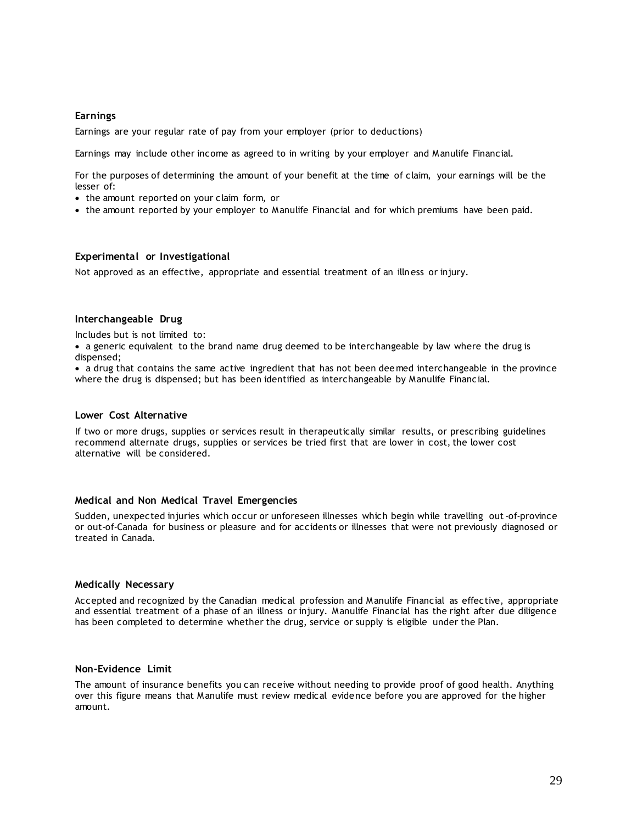#### **Earnings**

Earnings are your regular rate of pay from your employer (prior to deductions)

Earnings may include other income as agreed to in writing by your employer and Manulife Financial.

For the purposes of determining the amount of your benefit at the time of claim, your earnings will be the lesser of:

- the amount reported on your claim form, or
- the amount reported by your employer to Manulife Financial and for which premiums have been paid.

### **Experimental or Investigational**

Not approved as an effective, appropriate and essential treatment of an illness or injury.

#### **Interchangeable Drug**

Includes but is not limited to:

• a generic equivalent to the brand name drug deemed to be interchangeable by law where the drug is dispensed;

• a drug that contains the same active ingredient that has not been deemed interchangeable in the province where the drug is dispensed; but has been identified as interchangeable by Manulife Financial.

#### **Lower Cost Alternative**

If two or more drugs, supplies or services result in therapeutically similar results, or prescribing guidelines recommend alternate drugs, supplies or services be tried first that are lower in cost, the lower cost alternative will be considered.

#### **Medical and Non Medical Travel Emergencies**

Sudden, unexpected injuries which occur or unforeseen illnesses which begin while travelling out-of-province or out-of-Canada for business or pleasure and for accidents or illnesses that were not previously diagnosed or treated in Canada.

#### **Medically Necessary**

Accepted and recognized by the Canadian medical profession and Manulife Financial as effective, appropriate and essential treatment of a phase of an illness or injury. Manulife Financial has the right after due diligence has been completed to determine whether the drug, service or supply is eligible under the Plan.

### **Non-Evidence Limit**

The amount of insurance benefits you can receive without needing to provide proof of good health. Anything over this figure means that Manulife must review medical evidence before you are approved for the higher amount.